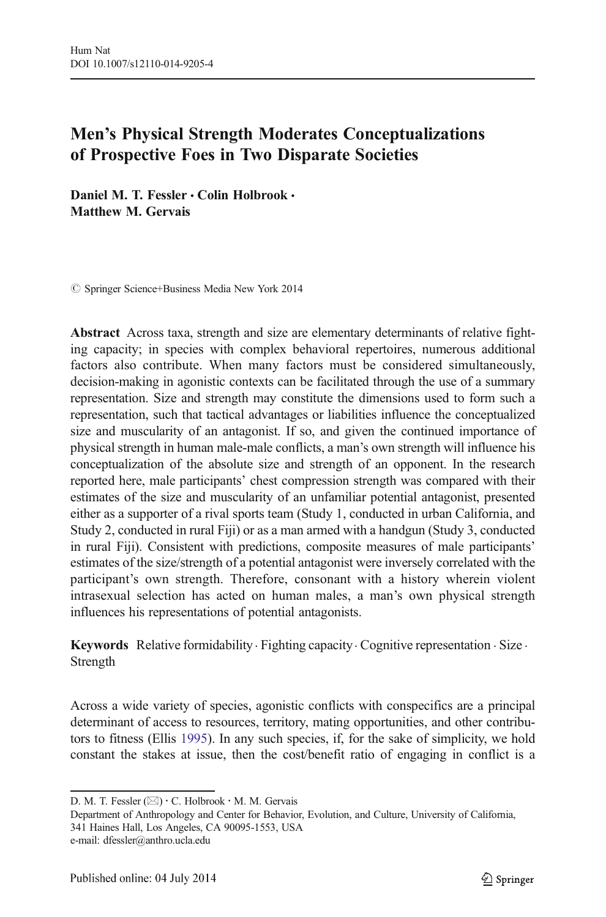# Men's Physical Strength Moderates Conceptualizations of Prospective Foes in Two Disparate Societies

Daniel M. T. Fessler • Colin Holbrook • Matthew M. Gervais

 $\oslash$  Springer Science+Business Media New York 2014

Abstract Across taxa, strength and size are elementary determinants of relative fighting capacity; in species with complex behavioral repertoires, numerous additional factors also contribute. When many factors must be considered simultaneously, decision-making in agonistic contexts can be facilitated through the use of a summary representation. Size and strength may constitute the dimensions used to form such a representation, such that tactical advantages or liabilities influence the conceptualized size and muscularity of an antagonist. If so, and given the continued importance of physical strength in human male-male conflicts, a man's own strength will influence his conceptualization of the absolute size and strength of an opponent. In the research reported here, male participants' chest compression strength was compared with their estimates of the size and muscularity of an unfamiliar potential antagonist, presented either as a supporter of a rival sports team (Study 1, conducted in urban California, and Study 2, conducted in rural Fiji) or as a man armed with a handgun (Study 3, conducted in rural Fiji). Consistent with predictions, composite measures of male participants' estimates of the size/strength of a potential antagonist were inversely correlated with the participant's own strength. Therefore, consonant with a history wherein violent intrasexual selection has acted on human males, a man's own physical strength influences his representations of potential antagonists.

Keywords Relative formidability · Fighting capacity · Cognitive representation · Size · Strength

Across a wide variety of species, agonistic conflicts with conspecifics are a principal determinant of access to resources, territory, mating opportunities, and other contributors to fitness (Ellis [1995](#page-14-0)). In any such species, if, for the sake of simplicity, we hold constant the stakes at issue, then the cost/benefit ratio of engaging in conflict is a

Department of Anthropology and Center for Behavior, Evolution, and Culture, University of California, 341 Haines Hall, Los Angeles, CA 90095-1553, USA

D. M. T. Fessler  $(\boxtimes) \cdot C$ . Holbrook  $\cdot$  M. M. Gervais

e-mail: dfessler@anthro.ucla.edu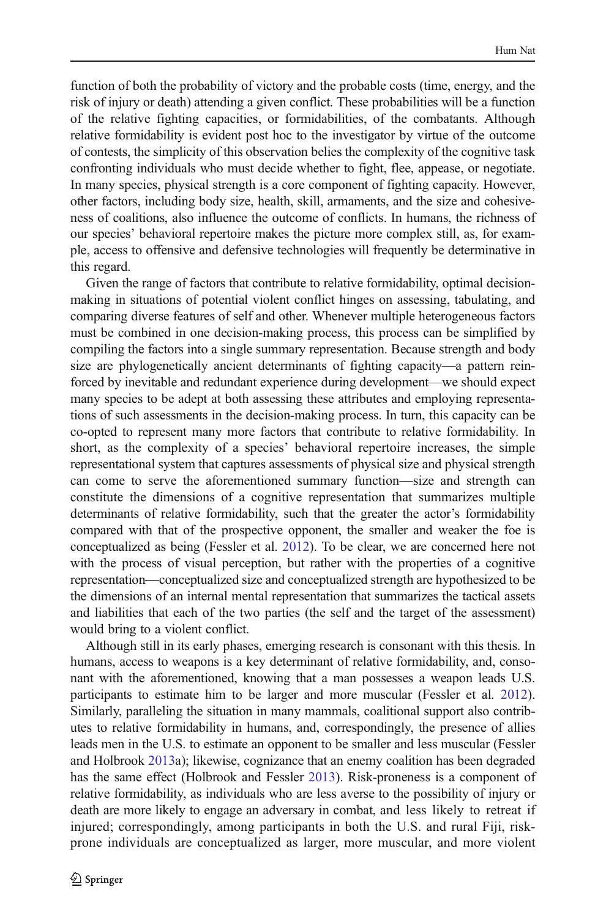function of both the probability of victory and the probable costs (time, energy, and the risk of injury or death) attending a given conflict. These probabilities will be a function of the relative fighting capacities, or formidabilities, of the combatants. Although relative formidability is evident post hoc to the investigator by virtue of the outcome of contests, the simplicity of this observation belies the complexity of the cognitive task confronting individuals who must decide whether to fight, flee, appease, or negotiate. In many species, physical strength is a core component of fighting capacity. However, other factors, including body size, health, skill, armaments, and the size and cohesiveness of coalitions, also influence the outcome of conflicts. In humans, the richness of our species' behavioral repertoire makes the picture more complex still, as, for example, access to offensive and defensive technologies will frequently be determinative in this regard.

Given the range of factors that contribute to relative formidability, optimal decisionmaking in situations of potential violent conflict hinges on assessing, tabulating, and comparing diverse features of self and other. Whenever multiple heterogeneous factors must be combined in one decision-making process, this process can be simplified by compiling the factors into a single summary representation. Because strength and body size are phylogenetically ancient determinants of fighting capacity—a pattern reinforced by inevitable and redundant experience during development—we should expect many species to be adept at both assessing these attributes and employing representations of such assessments in the decision-making process. In turn, this capacity can be co-opted to represent many more factors that contribute to relative formidability. In short, as the complexity of a species' behavioral repertoire increases, the simple representational system that captures assessments of physical size and physical strength can come to serve the aforementioned summary function—size and strength can constitute the dimensions of a cognitive representation that summarizes multiple determinants of relative formidability, such that the greater the actor's formidability compared with that of the prospective opponent, the smaller and weaker the foe is conceptualized as being (Fessler et al. [2012](#page-14-0)). To be clear, we are concerned here not with the process of visual perception, but rather with the properties of a cognitive representation—conceptualized size and conceptualized strength are hypothesized to be the dimensions of an internal mental representation that summarizes the tactical assets and liabilities that each of the two parties (the self and the target of the assessment) would bring to a violent conflict.

Although still in its early phases, emerging research is consonant with this thesis. In humans, access to weapons is a key determinant of relative formidability, and, consonant with the aforementioned, knowing that a man possesses a weapon leads U.S. participants to estimate him to be larger and more muscular (Fessler et al. [2012\)](#page-14-0). Similarly, paralleling the situation in many mammals, coalitional support also contributes to relative formidability in humans, and, correspondingly, the presence of allies leads men in the U.S. to estimate an opponent to be smaller and less muscular (Fessler and Holbrook [2013](#page-14-0)a); likewise, cognizance that an enemy coalition has been degraded has the same effect (Holbrook and Fessler [2013](#page-15-0)). Risk-proneness is a component of relative formidability, as individuals who are less averse to the possibility of injury or death are more likely to engage an adversary in combat, and less likely to retreat if injured; correspondingly, among participants in both the U.S. and rural Fiji, riskprone individuals are conceptualized as larger, more muscular, and more violent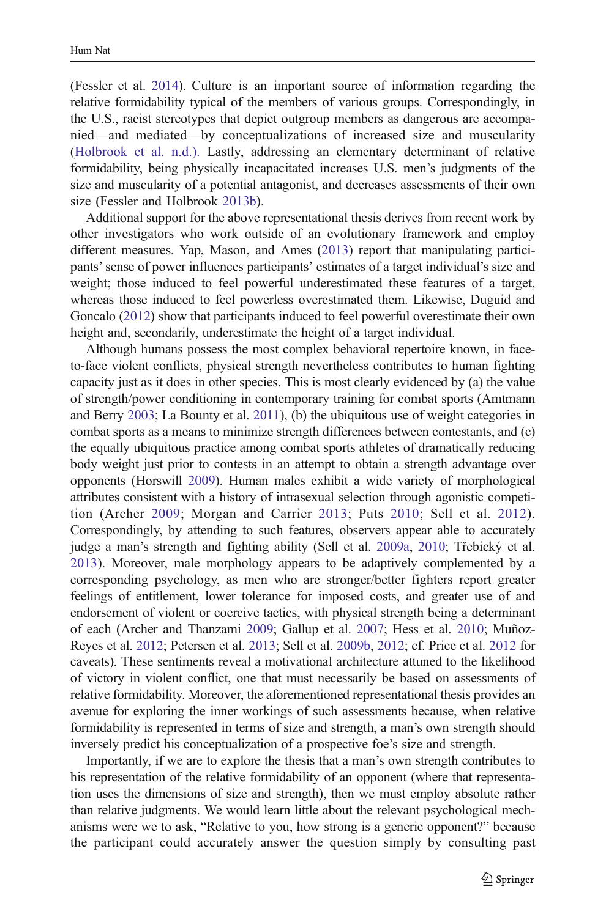(Fessler et al. [2014\)](#page-14-0). Culture is an important source of information regarding the relative formidability typical of the members of various groups. Correspondingly, in the U.S., racist stereotypes that depict outgroup members as dangerous are accompanied—and mediated—by conceptualizations of increased size and muscularity [\(Holbrook et al. n.d.\).](#page-15-0) Lastly, addressing an elementary determinant of relative formidability, being physically incapacitated increases U.S. men's judgments of the size and muscularity of a potential antagonist, and decreases assessments of their own size (Fessler and Holbrook [2013b\)](#page-14-0).

Additional support for the above representational thesis derives from recent work by other investigators who work outside of an evolutionary framework and employ different measures. Yap, Mason, and Ames [\(2013\)](#page-15-0) report that manipulating participants'sense of power influences participants' estimates of a target individual's size and weight; those induced to feel powerful underestimated these features of a target, whereas those induced to feel powerless overestimated them. Likewise, Duguid and Goncalo ([2012](#page-14-0)) show that participants induced to feel powerful overestimate their own height and, secondarily, underestimate the height of a target individual.

Although humans possess the most complex behavioral repertoire known, in faceto-face violent conflicts, physical strength nevertheless contributes to human fighting capacity just as it does in other species. This is most clearly evidenced by (a) the value of strength/power conditioning in contemporary training for combat sports (Amtmann and Berry [2003](#page-14-0); La Bounty et al. [2011\)](#page-15-0), (b) the ubiquitous use of weight categories in combat sports as a means to minimize strength differences between contestants, and (c) the equally ubiquitous practice among combat sports athletes of dramatically reducing body weight just prior to contests in an attempt to obtain a strength advantage over opponents (Horswill [2009](#page-15-0)). Human males exhibit a wide variety of morphological attributes consistent with a history of intrasexual selection through agonistic competition (Archer [2009;](#page-14-0) Morgan and Carrier [2013](#page-15-0); Puts [2010](#page-15-0); Sell et al. [2012](#page-15-0)). Correspondingly, by attending to such features, observers appear able to accurately judge a man's strength and fighting ability (Sell et al. [2009a](#page-15-0), [2010;](#page-15-0) Třebický et al. [2013\)](#page-15-0). Moreover, male morphology appears to be adaptively complemented by a corresponding psychology, as men who are stronger/better fighters report greater feelings of entitlement, lower tolerance for imposed costs, and greater use of and endorsement of violent or coercive tactics, with physical strength being a determinant of each (Archer and Thanzami [2009](#page-14-0); Gallup et al. [2007](#page-14-0); Hess et al. [2010;](#page-15-0) Muñoz-Reyes et al. [2012](#page-15-0); Petersen et al. [2013](#page-15-0); Sell et al. [2009b,](#page-15-0) [2012](#page-15-0); cf. Price et al. [2012](#page-15-0) for caveats). These sentiments reveal a motivational architecture attuned to the likelihood of victory in violent conflict, one that must necessarily be based on assessments of relative formidability. Moreover, the aforementioned representational thesis provides an avenue for exploring the inner workings of such assessments because, when relative formidability is represented in terms of size and strength, a man's own strength should inversely predict his conceptualization of a prospective foe's size and strength.

Importantly, if we are to explore the thesis that a man's own strength contributes to his representation of the relative formidability of an opponent (where that representation uses the dimensions of size and strength), then we must employ absolute rather than relative judgments. We would learn little about the relevant psychological mechanisms were we to ask, "Relative to you, how strong is a generic opponent?" because the participant could accurately answer the question simply by consulting past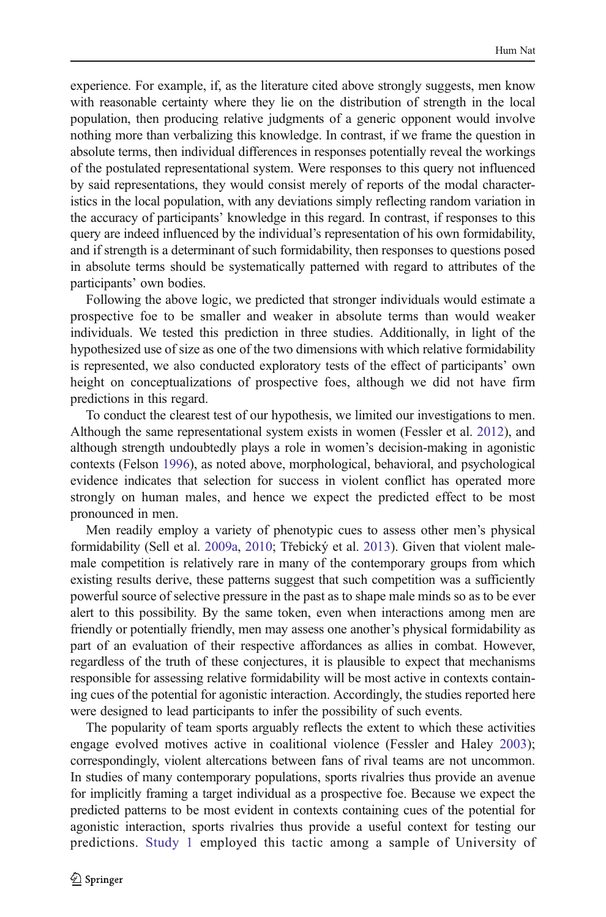experience. For example, if, as the literature cited above strongly suggests, men know with reasonable certainty where they lie on the distribution of strength in the local population, then producing relative judgments of a generic opponent would involve nothing more than verbalizing this knowledge. In contrast, if we frame the question in absolute terms, then individual differences in responses potentially reveal the workings of the postulated representational system. Were responses to this query not influenced by said representations, they would consist merely of reports of the modal characteristics in the local population, with any deviations simply reflecting random variation in the accuracy of participants' knowledge in this regard. In contrast, if responses to this query are indeed influenced by the individual's representation of his own formidability, and if strength is a determinant of such formidability, then responses to questions posed in absolute terms should be systematically patterned with regard to attributes of the participants' own bodies.

Following the above logic, we predicted that stronger individuals would estimate a prospective foe to be smaller and weaker in absolute terms than would weaker individuals. We tested this prediction in three studies. Additionally, in light of the hypothesized use of size as one of the two dimensions with which relative formidability is represented, we also conducted exploratory tests of the effect of participants' own height on conceptualizations of prospective foes, although we did not have firm predictions in this regard.

To conduct the clearest test of our hypothesis, we limited our investigations to men. Although the same representational system exists in women (Fessler et al. [2012\)](#page-14-0), and although strength undoubtedly plays a role in women's decision-making in agonistic contexts (Felson [1996\)](#page-14-0), as noted above, morphological, behavioral, and psychological evidence indicates that selection for success in violent conflict has operated more strongly on human males, and hence we expect the predicted effect to be most pronounced in men.

Men readily employ a variety of phenotypic cues to assess other men's physical formidability (Sell et al. [2009a](#page-15-0), [2010;](#page-15-0) Třebický et al. [2013](#page-15-0)). Given that violent malemale competition is relatively rare in many of the contemporary groups from which existing results derive, these patterns suggest that such competition was a sufficiently powerful source of selective pressure in the past as to shape male minds so as to be ever alert to this possibility. By the same token, even when interactions among men are friendly or potentially friendly, men may assess one another's physical formidability as part of an evaluation of their respective affordances as allies in combat. However, regardless of the truth of these conjectures, it is plausible to expect that mechanisms responsible for assessing relative formidability will be most active in contexts containing cues of the potential for agonistic interaction. Accordingly, the studies reported here were designed to lead participants to infer the possibility of such events.

The popularity of team sports arguably reflects the extent to which these activities engage evolved motives active in coalitional violence (Fessler and Haley [2003](#page-14-0)); correspondingly, violent altercations between fans of rival teams are not uncommon. In studies of many contemporary populations, sports rivalries thus provide an avenue for implicitly framing a target individual as a prospective foe. Because we expect the predicted patterns to be most evident in contexts containing cues of the potential for agonistic interaction, sports rivalries thus provide a useful context for testing our predictions. [Study 1](#page-4-0) employed this tactic among a sample of University of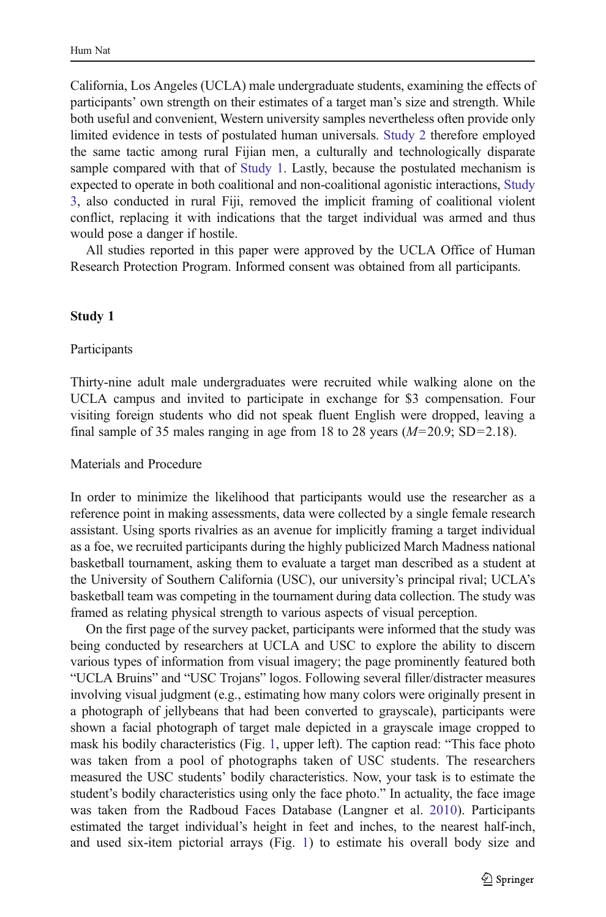<span id="page-4-0"></span>California, Los Angeles (UCLA) male undergraduate students, examining the effects of participants' own strength on their estimates of a target man's size and strength. While both useful and convenient, Western university samples nevertheless often provide only limited evidence in tests of postulated human universals. [Study 2](#page-7-0) therefore employed the same tactic among rural Fijian men, a culturally and technologically disparate sample compared with that of Study 1. Lastly, because the postulated mechanism is expected to operate in both coalitional and non-coalitional agonistic interactions, [Study](#page-8-0) [3,](#page-8-0) also conducted in rural Fiji, removed the implicit framing of coalitional violent conflict, replacing it with indications that the target individual was armed and thus would pose a danger if hostile.

All studies reported in this paper were approved by the UCLA Office of Human Research Protection Program. Informed consent was obtained from all participants.

#### Study 1

#### Participants

Thirty-nine adult male undergraduates were recruited while walking alone on the UCLA campus and invited to participate in exchange for \$3 compensation. Four visiting foreign students who did not speak fluent English were dropped, leaving a final sample of 35 males ranging in age from 18 to 28 years  $(M=20.9; SD=2.18)$ .

## Materials and Procedure

In order to minimize the likelihood that participants would use the researcher as a reference point in making assessments, data were collected by a single female research assistant. Using sports rivalries as an avenue for implicitly framing a target individual as a foe, we recruited participants during the highly publicized March Madness national basketball tournament, asking them to evaluate a target man described as a student at the University of Southern California (USC), our university's principal rival; UCLA's basketball team was competing in the tournament during data collection. The study was framed as relating physical strength to various aspects of visual perception.

On the first page of the survey packet, participants were informed that the study was being conducted by researchers at UCLA and USC to explore the ability to discern various types of information from visual imagery; the page prominently featured both "UCLA Bruins" and "USC Trojans" logos. Following several filler/distracter measures involving visual judgment (e.g., estimating how many colors were originally present in a photograph of jellybeans that had been converted to grayscale), participants were shown a facial photograph of target male depicted in a grayscale image cropped to mask his bodily characteristics (Fig. [1](#page-5-0), upper left). The caption read: "This face photo was taken from a pool of photographs taken of USC students. The researchers measured the USC students' bodily characteristics. Now, your task is to estimate the student's bodily characteristics using only the face photo." In actuality, the face image was taken from the Radboud Faces Database (Langner et al. [2010\)](#page-15-0). Participants estimated the target individual's height in feet and inches, to the nearest half-inch, and used six-item pictorial arrays (Fig. [1](#page-5-0)) to estimate his overall body size and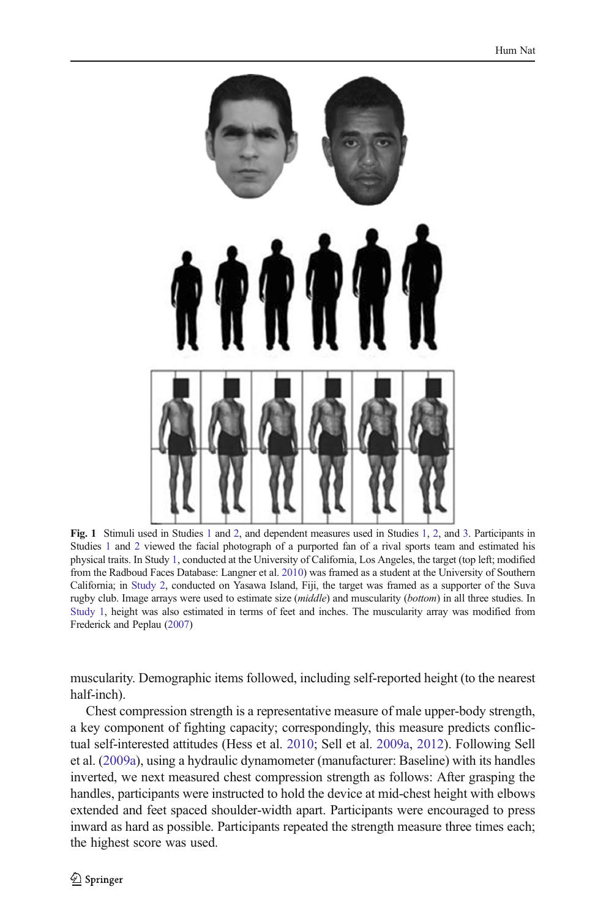<span id="page-5-0"></span>

Fig. 1 Stimuli used in Studies [1](#page-4-0) and [2](#page-7-0), and dependent measures used in Studies [1,](#page-4-0) [2](#page-7-0), and [3.](#page-8-0) Participants in Studies [1](#page-4-0) and [2](#page-7-0) viewed the facial photograph of a purported fan of a rival sports team and estimated his physical traits. In Study [1,](#page-4-0) conducted at the University of California, Los Angeles, the target (top left; modified from the Radboud Faces Database: Langner et al. [2010\)](#page-15-0) was framed as a student at the University of Southern California; in [Study 2,](#page-7-0) conducted on Yasawa Island, Fiji, the target was framed as a supporter of the Suva rugby club. Image arrays were used to estimate size (middle) and muscularity (bottom) in all three studies. In [Study 1,](#page-4-0) height was also estimated in terms of feet and inches. The muscularity array was modified from Frederick and Peplau ([2007](#page-14-0))

muscularity. Demographic items followed, including self-reported height (to the nearest half-inch).

Chest compression strength is a representative measure of male upper-body strength, a key component of fighting capacity; correspondingly, this measure predicts conflictual self-interested attitudes (Hess et al. [2010;](#page-15-0) Sell et al. [2009a](#page-15-0), [2012](#page-15-0)). Following Sell et al. ([2009a\)](#page-15-0), using a hydraulic dynamometer (manufacturer: Baseline) with its handles inverted, we next measured chest compression strength as follows: After grasping the handles, participants were instructed to hold the device at mid-chest height with elbows extended and feet spaced shoulder-width apart. Participants were encouraged to press inward as hard as possible. Participants repeated the strength measure three times each; the highest score was used.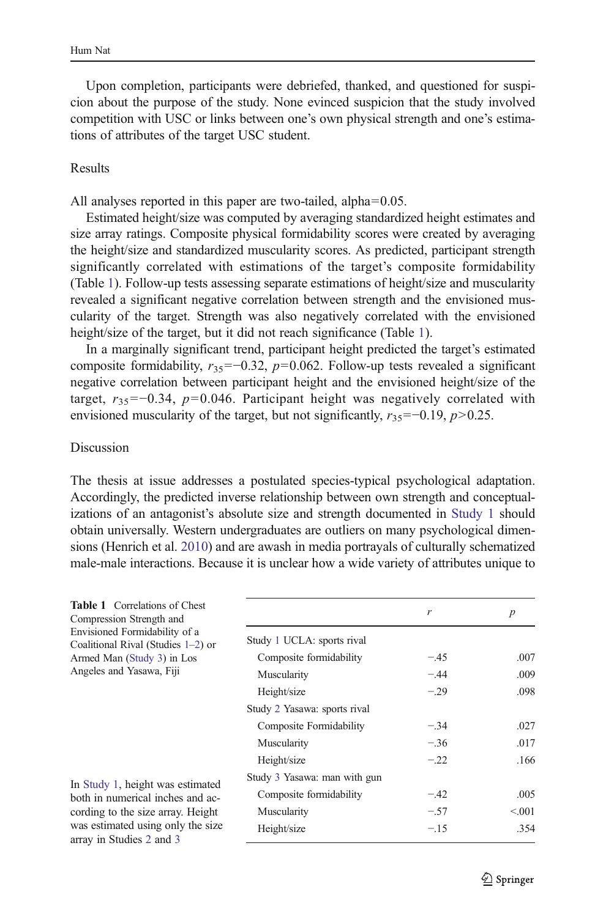<span id="page-6-0"></span>Upon completion, participants were debriefed, thanked, and questioned for suspicion about the purpose of the study. None evinced suspicion that the study involved competition with USC or links between one's own physical strength and one's estimations of attributes of the target USC student.

#### Results

All analyses reported in this paper are two-tailed, alpha=0.05.

Estimated height/size was computed by averaging standardized height estimates and size array ratings. Composite physical formidability scores were created by averaging the height/size and standardized muscularity scores. As predicted, participant strength significantly correlated with estimations of the target's composite formidability (Table 1). Follow-up tests assessing separate estimations of height/size and muscularity revealed a significant negative correlation between strength and the envisioned muscularity of the target. Strength was also negatively correlated with the envisioned height/size of the target, but it did not reach significance (Table 1).

In a marginally significant trend, participant height predicted the target's estimated composite formidability,  $r_{35}$ =−0.32, p=0.062. Follow-up tests revealed a significant negative correlation between participant height and the envisioned height/size of the target,  $r_{35}$ =−0.34, p=0.046. Participant height was negatively correlated with envisioned muscularity of the target, but not significantly,  $r_{35}$ =−0.19, p>0.25.

#### Discussion

The thesis at issue addresses a postulated species-typical psychological adaptation. Accordingly, the predicted inverse relationship between own strength and conceptualizations of an antagonist's absolute size and strength documented in [Study 1](#page-4-0) should obtain universally. Western undergraduates are outliers on many psychological dimensions (Henrich et al. [2010\)](#page-15-0) and are awash in media portrayals of culturally schematized male-male interactions. Because it is unclear how a wide variety of attributes unique to

| <b>Table 1</b> Correlations of Chest<br>Compression Strength and<br>Envisioned Formidability of a<br>Coalitional Rival (Studies $1-2$ ) or<br>Armed Man (Study 3) in Los<br>Angeles and Yasawa, Fiji |                              | r      | $\boldsymbol{p}$ |
|------------------------------------------------------------------------------------------------------------------------------------------------------------------------------------------------------|------------------------------|--------|------------------|
|                                                                                                                                                                                                      | Study 1 UCLA: sports rival   |        |                  |
|                                                                                                                                                                                                      | Composite formidability      | $-.45$ | .007             |
|                                                                                                                                                                                                      | Muscularity                  | $-.44$ | .009             |
|                                                                                                                                                                                                      | Height/size                  | $-.29$ | .098             |
|                                                                                                                                                                                                      | Study 2 Yasawa: sports rival |        |                  |
|                                                                                                                                                                                                      | Composite Formidability      | $-.34$ | .027             |
|                                                                                                                                                                                                      | Muscularity                  | $-.36$ | .017             |
|                                                                                                                                                                                                      | Height/size                  | $-.22$ | .166             |
| In Study 1, height was estimated<br>both in numerical inches and ac-<br>cording to the size array. Height<br>was estimated using only the size<br>array in Studies 2 and 3                           | Study 3 Yasawa: man with gun |        |                  |
|                                                                                                                                                                                                      | Composite formidability      | $-.42$ | .005             |
|                                                                                                                                                                                                      | Muscularity                  | $-.57$ | < 0.01           |
|                                                                                                                                                                                                      | Height/size                  | $-.15$ | .354             |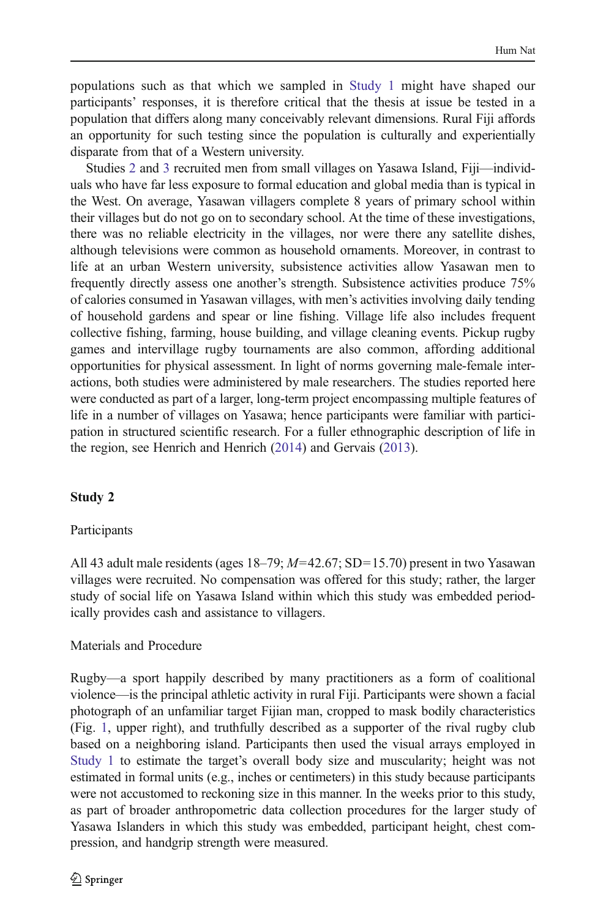<span id="page-7-0"></span>populations such as that which we sampled in [Study 1](#page-4-0) might have shaped our participants' responses, it is therefore critical that the thesis at issue be tested in a population that differs along many conceivably relevant dimensions. Rural Fiji affords an opportunity for such testing since the population is culturally and experientially disparate from that of a Western university.

Studies 2 and [3](#page-8-0) recruited men from small villages on Yasawa Island, Fiji—individuals who have far less exposure to formal education and global media than is typical in the West. On average, Yasawan villagers complete 8 years of primary school within their villages but do not go on to secondary school. At the time of these investigations, there was no reliable electricity in the villages, nor were there any satellite dishes, although televisions were common as household ornaments. Moreover, in contrast to life at an urban Western university, subsistence activities allow Yasawan men to frequently directly assess one another's strength. Subsistence activities produce 75% of calories consumed in Yasawan villages, with men's activities involving daily tending of household gardens and spear or line fishing. Village life also includes frequent collective fishing, farming, house building, and village cleaning events. Pickup rugby games and intervillage rugby tournaments are also common, affording additional opportunities for physical assessment. In light of norms governing male-female interactions, both studies were administered by male researchers. The studies reported here were conducted as part of a larger, long-term project encompassing multiple features of life in a number of villages on Yasawa; hence participants were familiar with participation in structured scientific research. For a fuller ethnographic description of life in the region, see Henrich and Henrich ([2014](#page-15-0)) and Gervais [\(2013\)](#page-15-0).

# Study 2

## Participants

All 43 adult male residents (ages  $18-79$ ;  $M=42.67$ ; SD=15.70) present in two Yasawan villages were recruited. No compensation was offered for this study; rather, the larger study of social life on Yasawa Island within which this study was embedded periodically provides cash and assistance to villagers.

# Materials and Procedure

Rugby—a sport happily described by many practitioners as a form of coalitional violence—is the principal athletic activity in rural Fiji. Participants were shown a facial photograph of an unfamiliar target Fijian man, cropped to mask bodily characteristics (Fig. [1](#page-5-0), upper right), and truthfully described as a supporter of the rival rugby club based on a neighboring island. Participants then used the visual arrays employed in [Study 1](#page-4-0) to estimate the target's overall body size and muscularity; height was not estimated in formal units (e.g., inches or centimeters) in this study because participants were not accustomed to reckoning size in this manner. In the weeks prior to this study, as part of broader anthropometric data collection procedures for the larger study of Yasawa Islanders in which this study was embedded, participant height, chest compression, and handgrip strength were measured.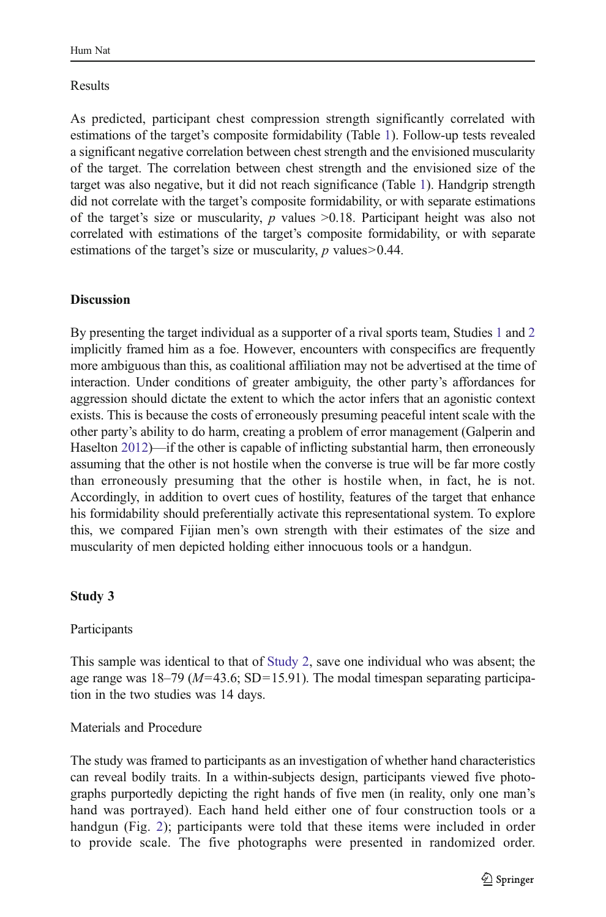# <span id="page-8-0"></span>Results

As predicted, participant chest compression strength significantly correlated with estimations of the target's composite formidability (Table [1\)](#page-6-0). Follow-up tests revealed a significant negative correlation between chest strength and the envisioned muscularity of the target. The correlation between chest strength and the envisioned size of the target was also negative, but it did not reach significance (Table [1](#page-6-0)). Handgrip strength did not correlate with the target's composite formidability, or with separate estimations of the target's size or muscularity,  $p$  values  $\geq 0.18$ . Participant height was also not correlated with estimations of the target's composite formidability, or with separate estimations of the target's size or muscularity,  $p$  values  $> 0.44$ .

# **Discussion**

By presenting the target individual as a supporter of a rival sports team, Studies [1](#page-4-0) and [2](#page-7-0) implicitly framed him as a foe. However, encounters with conspecifics are frequently more ambiguous than this, as coalitional affiliation may not be advertised at the time of interaction. Under conditions of greater ambiguity, the other party's affordances for aggression should dictate the extent to which the actor infers that an agonistic context exists. This is because the costs of erroneously presuming peaceful intent scale with the other party's ability to do harm, creating a problem of error management (Galperin and Haselton [2012\)](#page-15-0)—if the other is capable of inflicting substantial harm, then erroneously assuming that the other is not hostile when the converse is true will be far more costly than erroneously presuming that the other is hostile when, in fact, he is not. Accordingly, in addition to overt cues of hostility, features of the target that enhance his formidability should preferentially activate this representational system. To explore this, we compared Fijian men's own strength with their estimates of the size and muscularity of men depicted holding either innocuous tools or a handgun.

# Study 3

Participants

This sample was identical to that of [Study 2](#page-7-0), save one individual who was absent; the age range was  $18-79$  ( $M=43.6$ ; SD=15.91). The modal timespan separating participation in the two studies was 14 days.

Materials and Procedure

The study was framed to participants as an investigation of whether hand characteristics can reveal bodily traits. In a within-subjects design, participants viewed five photographs purportedly depicting the right hands of five men (in reality, only one man's hand was portrayed). Each hand held either one of four construction tools or a handgun (Fig. [2\)](#page-9-0); participants were told that these items were included in order to provide scale. The five photographs were presented in randomized order.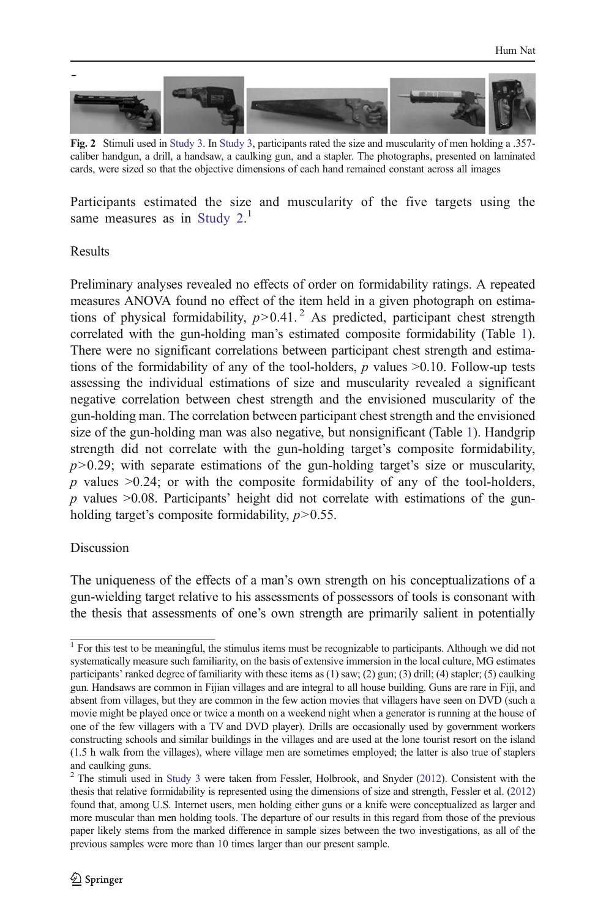<span id="page-9-0"></span>

Fig. 2 Stimuli used in [Study 3](#page-8-0). In [Study 3](#page-8-0), participants rated the size and muscularity of men holding a .357 caliber handgun, a drill, a handsaw, a caulking gun, and a stapler. The photographs, presented on laminated cards, were sized so that the objective dimensions of each hand remained constant across all images

Participants estimated the size and muscularity of the five targets using the same measures as in Study  $2.<sup>1</sup>$ 

## Results

Preliminary analyses revealed no effects of order on formidability ratings. A repeated measures ANOVA found no effect of the item held in a given photograph on estimations of physical formidability,  $p > 0.41$ .<sup>2</sup> As predicted, participant chest strength correlated with the gun-holding man's estimated composite formidability (Table [1\)](#page-6-0). There were no significant correlations between participant chest strength and estimations of the formidability of any of the tool-holders,  $p$  values  $\geq 0.10$ . Follow-up tests assessing the individual estimations of size and muscularity revealed a significant negative correlation between chest strength and the envisioned muscularity of the gun-holding man. The correlation between participant chest strength and the envisioned size of the gun-holding man was also negative, but nonsignificant (Table [1](#page-6-0)). Handgrip strength did not correlate with the gun-holding target's composite formidability,  $p > 0.29$ ; with separate estimations of the gun-holding target's size or muscularity,  $p$  values  $>0.24$ ; or with the composite formidability of any of the tool-holders,  $p$  values  $>0.08$ . Participants' height did not correlate with estimations of the gunholding target's composite formidability,  $p > 0.55$ .

## Discussion

The uniqueness of the effects of a man's own strength on his conceptualizations of a gun-wielding target relative to his assessments of possessors of tools is consonant with the thesis that assessments of one's own strength are primarily salient in potentially

<sup>&</sup>lt;sup>1</sup> For this test to be meaningful, the stimulus items must be recognizable to participants. Although we did not systematically measure such familiarity, on the basis of extensive immersion in the local culture, MG estimates participants' ranked degree of familiarity with these items as (1) saw; (2) gun; (3) drill; (4) stapler; (5) caulking gun. Handsaws are common in Fijian villages and are integral to all house building. Guns are rare in Fiji, and absent from villages, but they are common in the few action movies that villagers have seen on DVD (such a movie might be played once or twice a month on a weekend night when a generator is running at the house of one of the few villagers with a TV and DVD player). Drills are occasionally used by government workers constructing schools and similar buildings in the villages and are used at the lone tourist resort on the island (1.5 h walk from the villages), where village men are sometimes employed; the latter is also true of staplers and caulking guns.

 $2$ <sup>2</sup> The stimuli used in [Study 3](#page-8-0) were taken from Fessler, Holbrook, and Snyder ([2012](#page-14-0)). Consistent with the thesis that relative formidability is represented using the dimensions of size and strength, Fessler et al. [\(2012\)](#page-14-0) found that, among U.S. Internet users, men holding either guns or a knife were conceptualized as larger and more muscular than men holding tools. The departure of our results in this regard from those of the previous paper likely stems from the marked difference in sample sizes between the two investigations, as all of the previous samples were more than 10 times larger than our present sample.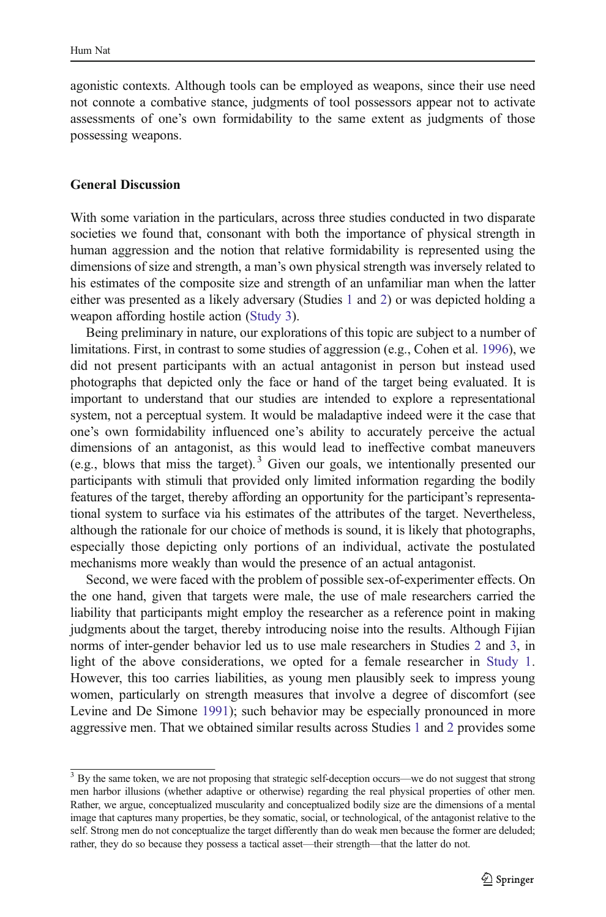agonistic contexts. Although tools can be employed as weapons, since their use need not connote a combative stance, judgments of tool possessors appear not to activate assessments of one's own formidability to the same extent as judgments of those possessing weapons.

#### General Discussion

With some variation in the particulars, across three studies conducted in two disparate societies we found that, consonant with both the importance of physical strength in human aggression and the notion that relative formidability is represented using the dimensions of size and strength, a man's own physical strength was inversely related to his estimates of the composite size and strength of an unfamiliar man when the latter either was presented as a likely adversary (Studies [1](#page-4-0) and [2\)](#page-7-0) or was depicted holding a weapon affording hostile action [\(Study 3\)](#page-8-0).

Being preliminary in nature, our explorations of this topic are subject to a number of limitations. First, in contrast to some studies of aggression (e.g., Cohen et al. [1996\)](#page-14-0), we did not present participants with an actual antagonist in person but instead used photographs that depicted only the face or hand of the target being evaluated. It is important to understand that our studies are intended to explore a representational system, not a perceptual system. It would be maladaptive indeed were it the case that one's own formidability influenced one's ability to accurately perceive the actual dimensions of an antagonist, as this would lead to ineffective combat maneuvers (e.g., blows that miss the target).<sup>3</sup> Given our goals, we intentionally presented our participants with stimuli that provided only limited information regarding the bodily features of the target, thereby affording an opportunity for the participant's representational system to surface via his estimates of the attributes of the target. Nevertheless, although the rationale for our choice of methods is sound, it is likely that photographs, especially those depicting only portions of an individual, activate the postulated mechanisms more weakly than would the presence of an actual antagonist.

Second, we were faced with the problem of possible sex-of-experimenter effects. On the one hand, given that targets were male, the use of male researchers carried the liability that participants might employ the researcher as a reference point in making judgments about the target, thereby introducing noise into the results. Although Fijian norms of inter-gender behavior led us to use male researchers in Studies [2](#page-4-0) and [3,](#page-7-0) in light of the above considerations, we opted for a female researcher in [Study 1.](#page-4-0) However, this too carries liabilities, as young men plausibly seek to impress young women, particularly on strength measures that involve a degree of discomfort (see Levine and De Simone [1991](#page-15-0)); such behavior may be especially pronounced in more aggressive men. That we obtained similar results across Studies [1](#page-4-0) and [2](#page-4-0) provides some

<sup>&</sup>lt;sup>3</sup> By the same token, we are not proposing that strategic self-deception occurs—we do not suggest that strong men harbor illusions (whether adaptive or otherwise) regarding the real physical properties of other men. Rather, we argue, conceptualized muscularity and conceptualized bodily size are the dimensions of a mental image that captures many properties, be they somatic, social, or technological, of the antagonist relative to the self. Strong men do not conceptualize the target differently than do weak men because the former are deluded; rather, they do so because they possess a tactical asset—their strength—that the latter do not.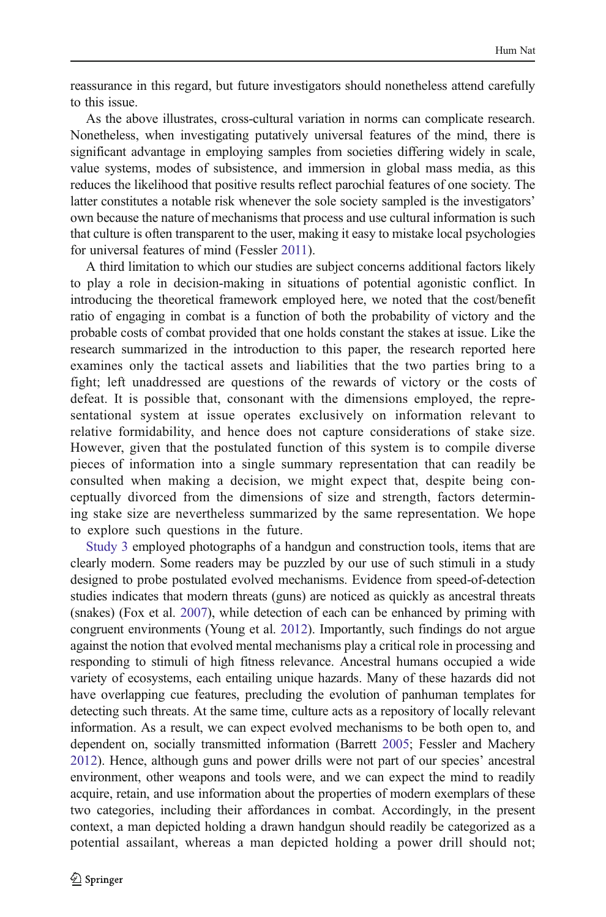reassurance in this regard, but future investigators should nonetheless attend carefully to this issue.

As the above illustrates, cross-cultural variation in norms can complicate research. Nonetheless, when investigating putatively universal features of the mind, there is significant advantage in employing samples from societies differing widely in scale, value systems, modes of subsistence, and immersion in global mass media, as this reduces the likelihood that positive results reflect parochial features of one society. The latter constitutes a notable risk whenever the sole society sampled is the investigators' own because the nature of mechanisms that process and use cultural information is such that culture is often transparent to the user, making it easy to mistake local psychologies for universal features of mind (Fessler [2011](#page-14-0)).

A third limitation to which our studies are subject concerns additional factors likely to play a role in decision-making in situations of potential agonistic conflict. In introducing the theoretical framework employed here, we noted that the cost/benefit ratio of engaging in combat is a function of both the probability of victory and the probable costs of combat provided that one holds constant the stakes at issue. Like the research summarized in the introduction to this paper, the research reported here examines only the tactical assets and liabilities that the two parties bring to a fight; left unaddressed are questions of the rewards of victory or the costs of defeat. It is possible that, consonant with the dimensions employed, the representational system at issue operates exclusively on information relevant to relative formidability, and hence does not capture considerations of stake size. However, given that the postulated function of this system is to compile diverse pieces of information into a single summary representation that can readily be consulted when making a decision, we might expect that, despite being conceptually divorced from the dimensions of size and strength, factors determining stake size are nevertheless summarized by the same representation. We hope to explore such questions in the future.

[Study 3](#page-8-0) employed photographs of a handgun and construction tools, items that are clearly modern. Some readers may be puzzled by our use of such stimuli in a study designed to probe postulated evolved mechanisms. Evidence from speed-of-detection studies indicates that modern threats (guns) are noticed as quickly as ancestral threats (snakes) (Fox et al. [2007](#page-14-0)), while detection of each can be enhanced by priming with congruent environments (Young et al. [2012](#page-15-0)). Importantly, such findings do not argue against the notion that evolved mental mechanisms play a critical role in processing and responding to stimuli of high fitness relevance. Ancestral humans occupied a wide variety of ecosystems, each entailing unique hazards. Many of these hazards did not have overlapping cue features, precluding the evolution of panhuman templates for detecting such threats. At the same time, culture acts as a repository of locally relevant information. As a result, we can expect evolved mechanisms to be both open to, and dependent on, socially transmitted information (Barrett [2005;](#page-14-0) Fessler and Machery [2012\)](#page-14-0). Hence, although guns and power drills were not part of our species' ancestral environment, other weapons and tools were, and we can expect the mind to readily acquire, retain, and use information about the properties of modern exemplars of these two categories, including their affordances in combat. Accordingly, in the present context, a man depicted holding a drawn handgun should readily be categorized as a potential assailant, whereas a man depicted holding a power drill should not;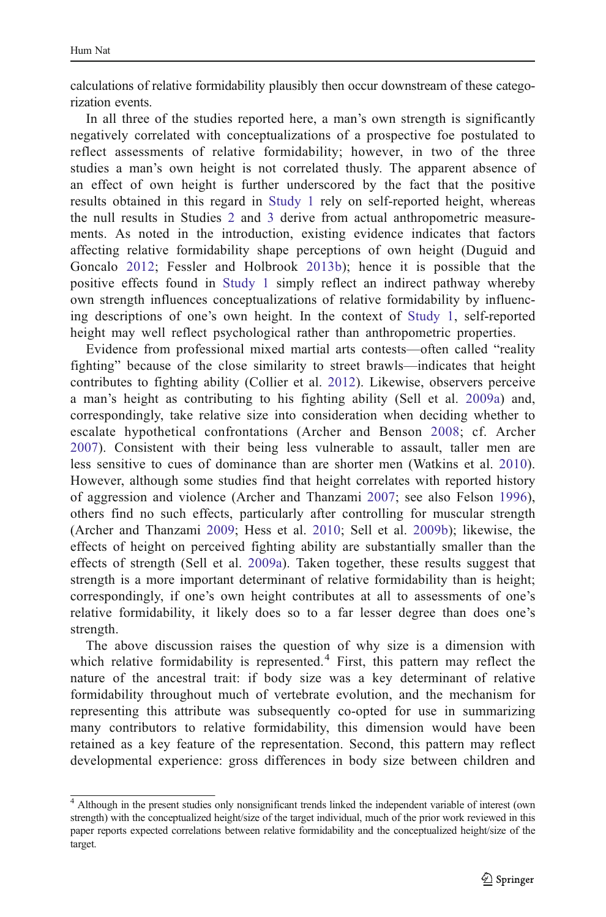calculations of relative formidability plausibly then occur downstream of these categorization events.

In all three of the studies reported here, a man's own strength is significantly negatively correlated with conceptualizations of a prospective foe postulated to reflect assessments of relative formidability; however, in two of the three studies a man's own height is not correlated thusly. The apparent absence of an effect of own height is further underscored by the fact that the positive results obtained in this regard in [Study 1](#page-4-0) rely on self-reported height, whereas the null results in Studies [2](#page-7-0) and [3](#page-8-0) derive from actual anthropometric measurements. As noted in the introduction, existing evidence indicates that factors affecting relative formidability shape perceptions of own height (Duguid and Goncalo [2012](#page-14-0); Fessler and Holbrook [2013b](#page-14-0)); hence it is possible that the positive effects found in [Study 1](#page-4-0) simply reflect an indirect pathway whereby own strength influences conceptualizations of relative formidability by influencing descriptions of one's own height. In the context of [Study 1](#page-4-0), self-reported height may well reflect psychological rather than anthropometric properties.

Evidence from professional mixed martial arts contests—often called "reality fighting" because of the close similarity to street brawls—indicates that height contributes to fighting ability (Collier et al. [2012](#page-14-0)). Likewise, observers perceive a man's height as contributing to his fighting ability (Sell et al. [2009a\)](#page-15-0) and, correspondingly, take relative size into consideration when deciding whether to escalate hypothetical confrontations (Archer and Benson [2008;](#page-14-0) cf. Archer [2007](#page-14-0)). Consistent with their being less vulnerable to assault, taller men are less sensitive to cues of dominance than are shorter men (Watkins et al. [2010\)](#page-15-0). However, although some studies find that height correlates with reported history of aggression and violence (Archer and Thanzami [2007;](#page-14-0) see also Felson [1996\)](#page-14-0), others find no such effects, particularly after controlling for muscular strength (Archer and Thanzami [2009](#page-14-0); Hess et al. [2010](#page-15-0); Sell et al. [2009b](#page-15-0)); likewise, the effects of height on perceived fighting ability are substantially smaller than the effects of strength (Sell et al. [2009a\)](#page-15-0). Taken together, these results suggest that strength is a more important determinant of relative formidability than is height; correspondingly, if one's own height contributes at all to assessments of one's relative formidability, it likely does so to a far lesser degree than does one's strength.

The above discussion raises the question of why size is a dimension with which relative formidability is represented.<sup>4</sup> First, this pattern may reflect the nature of the ancestral trait: if body size was a key determinant of relative formidability throughout much of vertebrate evolution, and the mechanism for representing this attribute was subsequently co-opted for use in summarizing many contributors to relative formidability, this dimension would have been retained as a key feature of the representation. Second, this pattern may reflect developmental experience: gross differences in body size between children and

<sup>4</sup> Although in the present studies only nonsignificant trends linked the independent variable of interest (own strength) with the conceptualized height/size of the target individual, much of the prior work reviewed in this paper reports expected correlations between relative formidability and the conceptualized height/size of the target.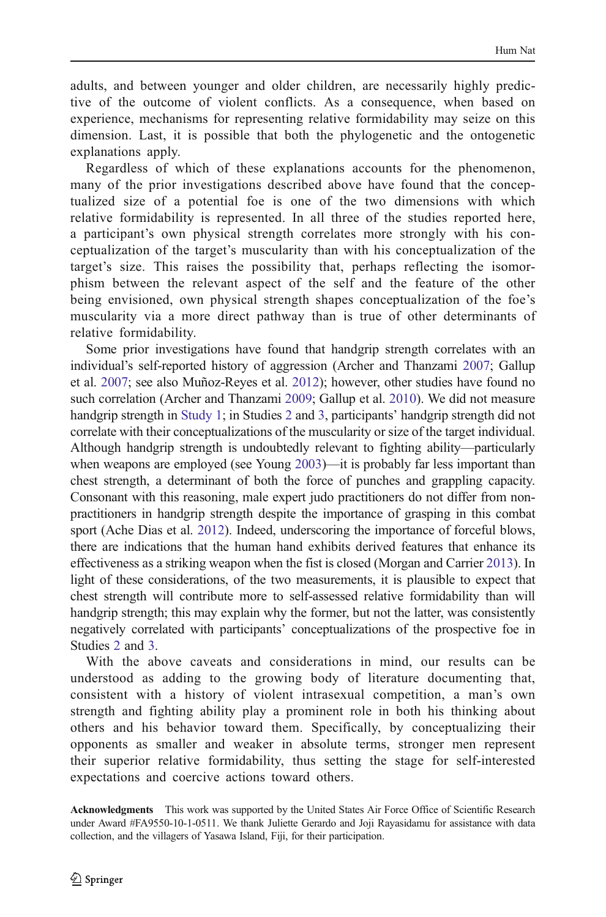adults, and between younger and older children, are necessarily highly predictive of the outcome of violent conflicts. As a consequence, when based on experience, mechanisms for representing relative formidability may seize on this dimension. Last, it is possible that both the phylogenetic and the ontogenetic explanations apply.

Regardless of which of these explanations accounts for the phenomenon, many of the prior investigations described above have found that the conceptualized size of a potential foe is one of the two dimensions with which relative formidability is represented. In all three of the studies reported here, a participant's own physical strength correlates more strongly with his conceptualization of the target's muscularity than with his conceptualization of the target's size. This raises the possibility that, perhaps reflecting the isomorphism between the relevant aspect of the self and the feature of the other being envisioned, own physical strength shapes conceptualization of the foe's muscularity via a more direct pathway than is true of other determinants of relative formidability.

Some prior investigations have found that handgrip strength correlates with an individual's self-reported history of aggression (Archer and Thanzami [2007](#page-14-0); Gallup et al. [2007;](#page-14-0) see also Muñoz-Reyes et al. [2012\)](#page-15-0); however, other studies have found no such correlation (Archer and Thanzami [2009](#page-14-0); Gallup et al. [2010\)](#page-14-0). We did not measure handgrip strength in [Study 1](#page-4-0); in Studies [2](#page-7-0) and [3,](#page-8-0) participants' handgrip strength did not correlate with their conceptualizations of the muscularity or size of the target individual. Although handgrip strength is undoubtedly relevant to fighting ability—particularly when weapons are employed (see Young [2003\)](#page-15-0)—it is probably far less important than chest strength, a determinant of both the force of punches and grappling capacity. Consonant with this reasoning, male expert judo practitioners do not differ from nonpractitioners in handgrip strength despite the importance of grasping in this combat sport (Ache Dias et al. [2012\)](#page-14-0). Indeed, underscoring the importance of forceful blows, there are indications that the human hand exhibits derived features that enhance its effectiveness as a striking weapon when the fist is closed (Morgan and Carrier [2013](#page-15-0)). In light of these considerations, of the two measurements, it is plausible to expect that chest strength will contribute more to self-assessed relative formidability than will handgrip strength; this may explain why the former, but not the latter, was consistently negatively correlated with participants' conceptualizations of the prospective foe in Studies [2](#page-7-0) and [3](#page-8-0).

With the above caveats and considerations in mind, our results can be understood as adding to the growing body of literature documenting that, consistent with a history of violent intrasexual competition, a man's own strength and fighting ability play a prominent role in both his thinking about others and his behavior toward them. Specifically, by conceptualizing their opponents as smaller and weaker in absolute terms, stronger men represent their superior relative formidability, thus setting the stage for self-interested expectations and coercive actions toward others.

Acknowledgments This work was supported by the United States Air Force Office of Scientific Research under Award #FA9550-10-1-0511. We thank Juliette Gerardo and Joji Rayasidamu for assistance with data collection, and the villagers of Yasawa Island, Fiji, for their participation.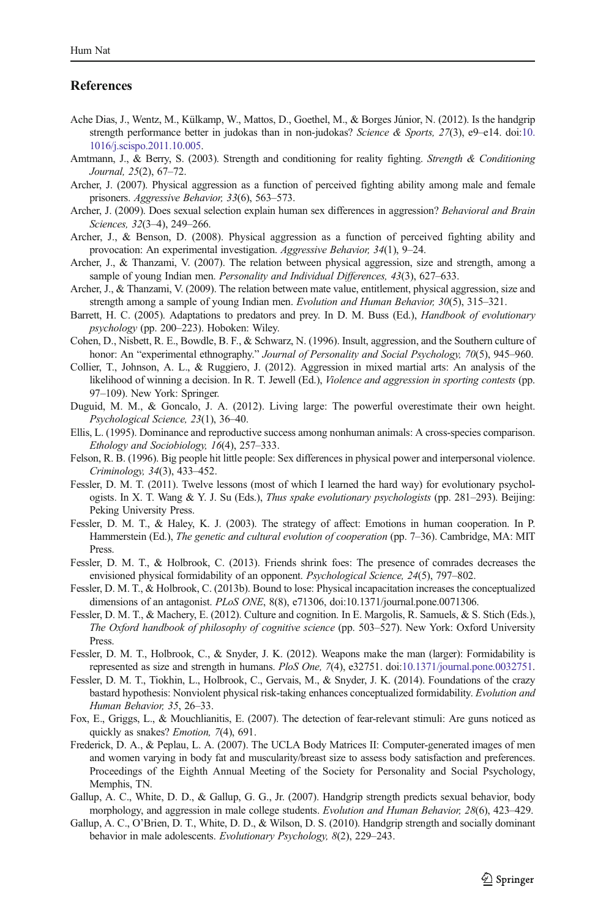## <span id="page-14-0"></span>References

- Ache Dias, J., Wentz, M., Külkamp, W., Mattos, D., Goethel, M., & Borges Júnior, N. (2012). Is the handgrip strength performance better in judokas than in non-judokas? Science & Sports, 27(3), e9–e14. doi:[10.](http://dx.doi.org/10.1016/j.scispo.2011.10.005) [1016/j.scispo.2011.10.005.](http://dx.doi.org/10.1016/j.scispo.2011.10.005)
- Amtmann, J., & Berry, S. (2003). Strength and conditioning for reality fighting. Strength & Conditioning Journal, 25(2), 67–72.
- Archer, J. (2007). Physical aggression as a function of perceived fighting ability among male and female prisoners. Aggressive Behavior, 33(6), 563–573.
- Archer, J. (2009). Does sexual selection explain human sex differences in aggression? Behavioral and Brain Sciences, 32(3–4), 249–266.
- Archer, J., & Benson, D. (2008). Physical aggression as a function of perceived fighting ability and provocation: An experimental investigation. Aggressive Behavior, 34(1), 9–24.
- Archer, J., & Thanzami, V. (2007). The relation between physical aggression, size and strength, among a sample of young Indian men. Personality and Individual Differences, 43(3), 627–633.
- Archer, J., & Thanzami, V. (2009). The relation between mate value, entitlement, physical aggression, size and strength among a sample of young Indian men. Evolution and Human Behavior, 30(5), 315–321.
- Barrett, H. C. (2005). Adaptations to predators and prey. In D. M. Buss (Ed.), Handbook of evolutionary psychology (pp. 200–223). Hoboken: Wiley.
- Cohen, D., Nisbett, R. E., Bowdle, B. F., & Schwarz, N. (1996). Insult, aggression, and the Southern culture of honor: An "experimental ethnography." Journal of Personality and Social Psychology, 70(5), 945–960.
- Collier, T., Johnson, A. L., & Ruggiero, J. (2012). Aggression in mixed martial arts: An analysis of the likelihood of winning a decision. In R. T. Jewell (Ed.), *Violence and aggression in sporting contests* (pp. 97–109). New York: Springer.
- Duguid, M. M., & Goncalo, J. A. (2012). Living large: The powerful overestimate their own height. Psychological Science, 23(1), 36–40.
- Ellis, L. (1995). Dominance and reproductive success among nonhuman animals: A cross-species comparison. Ethology and Sociobiology, 16(4), 257–333.
- Felson, R. B. (1996). Big people hit little people: Sex differences in physical power and interpersonal violence. Criminology, 34(3), 433–452.
- Fessler, D. M. T. (2011). Twelve lessons (most of which I learned the hard way) for evolutionary psychologists. In X. T. Wang & Y. J. Su (Eds.), Thus spake evolutionary psychologists (pp. 281–293). Beijing: Peking University Press.
- Fessler, D. M. T., & Haley, K. J. (2003). The strategy of affect: Emotions in human cooperation. In P. Hammerstein (Ed.), The genetic and cultural evolution of cooperation (pp. 7–36). Cambridge, MA: MIT Press.
- Fessler, D. M. T., & Holbrook, C. (2013). Friends shrink foes: The presence of comrades decreases the envisioned physical formidability of an opponent. Psychological Science, 24(5), 797–802.
- Fessler, D. M. T., & Holbrook, C. (2013b). Bound to lose: Physical incapacitation increases the conceptualized dimensions of an antagonist. PLoS ONE, 8(8), e71306, doi:10.1371/journal.pone.0071306.
- Fessler, D. M. T., & Machery, E. (2012). Culture and cognition. In E. Margolis, R. Samuels, & S. Stich (Eds.), The Oxford handbook of philosophy of cognitive science (pp. 503–527). New York: Oxford University Press.
- Fessler, D. M. T., Holbrook, C., & Snyder, J. K. (2012). Weapons make the man (larger): Formidability is represented as size and strength in humans. PloS One, 7(4), e32751. doi:[10.1371/journal.pone.0032751](http://dx.doi.org/10.1371/journal.pone.0032751).
- Fessler, D. M. T., Tiokhin, L., Holbrook, C., Gervais, M., & Snyder, J. K. (2014). Foundations of the crazy bastard hypothesis: Nonviolent physical risk-taking enhances conceptualized formidability. Evolution and Human Behavior, 35, 26–33.
- Fox, E., Griggs, L., & Mouchlianitis, E. (2007). The detection of fear-relevant stimuli: Are guns noticed as quickly as snakes? Emotion, 7(4), 691.
- Frederick, D. A., & Peplau, L. A. (2007). The UCLA Body Matrices II: Computer-generated images of men and women varying in body fat and muscularity/breast size to assess body satisfaction and preferences. Proceedings of the Eighth Annual Meeting of the Society for Personality and Social Psychology, Memphis, TN.
- Gallup, A. C., White, D. D., & Gallup, G. G., Jr. (2007). Handgrip strength predicts sexual behavior, body morphology, and aggression in male college students. Evolution and Human Behavior, 28(6), 423–429.
- Gallup, A. C., O'Brien, D. T., White, D. D., & Wilson, D. S. (2010). Handgrip strength and socially dominant behavior in male adolescents. Evolutionary Psychology, 8(2), 229–243.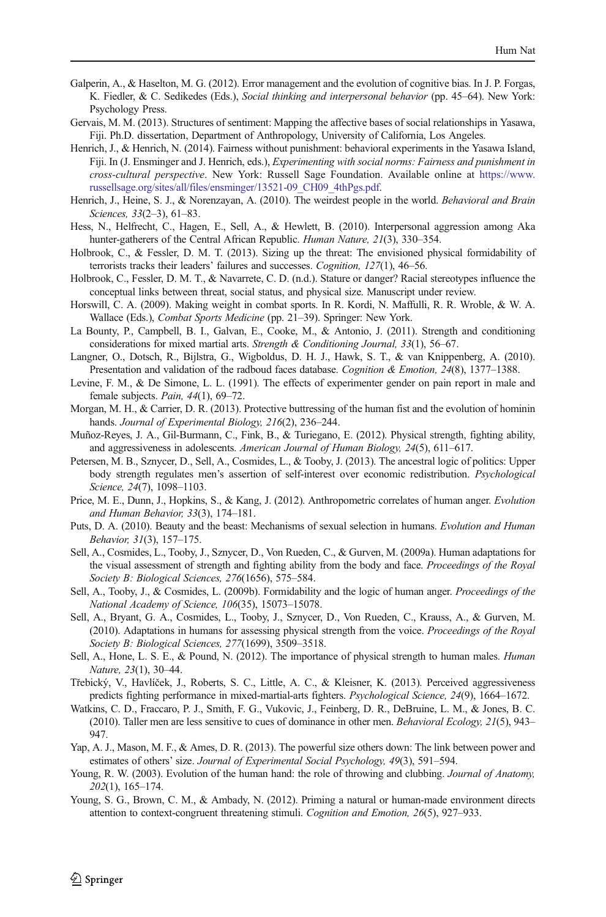- <span id="page-15-0"></span>Galperin, A., & Haselton, M. G. (2012). Error management and the evolution of cognitive bias. In J. P. Forgas, K. Fiedler, & C. Sedikedes (Eds.), Social thinking and interpersonal behavior (pp. 45–64). New York: Psychology Press.
- Gervais, M. M. (2013). Structures of sentiment: Mapping the affective bases of social relationships in Yasawa, Fiji. Ph.D. dissertation, Department of Anthropology, University of California, Los Angeles.
- Henrich, J., & Henrich, N. (2014). Fairness without punishment: behavioral experiments in the Yasawa Island, Fiji. In (J. Ensminger and J. Henrich, eds.), Experimenting with social norms: Fairness and punishment in cross-cultural perspective. New York: Russell Sage Foundation. Available online at [https://www.](https://www.russellsage.org/sites/all/files/ensminger/13521-09_CH09_4thPgs.pdf) [russellsage.org/sites/all/files/ensminger/13521-09\\_CH09\\_4thPgs.pdf](https://www.russellsage.org/sites/all/files/ensminger/13521-09_CH09_4thPgs.pdf).
- Henrich, J., Heine, S. J., & Norenzayan, A. (2010). The weirdest people in the world. Behavioral and Brain Sciences, 33(2–3), 61–83.
- Hess, N., Helfrecht, C., Hagen, E., Sell, A., & Hewlett, B. (2010). Interpersonal aggression among Aka hunter-gatherers of the Central African Republic. Human Nature, 21(3), 330–354.
- Holbrook, C., & Fessler, D. M. T. (2013). Sizing up the threat: The envisioned physical formidability of terrorists tracks their leaders' failures and successes. Cognition, 127(1), 46–56.
- Holbrook, C., Fessler, D. M. T., & Navarrete, C. D. (n.d.). Stature or danger? Racial stereotypes influence the conceptual links between threat, social status, and physical size. Manuscript under review.
- Horswill, C. A. (2009). Making weight in combat sports. In R. Kordi, N. Maffulli, R. R. Wroble, & W. A. Wallace (Eds.), Combat Sports Medicine (pp. 21–39). Springer: New York.
- La Bounty, P., Campbell, B. I., Galvan, E., Cooke, M., & Antonio, J. (2011). Strength and conditioning considerations for mixed martial arts. Strength & Conditioning Journal, 33(1), 56–67.
- Langner, O., Dotsch, R., Bijlstra, G., Wigboldus, D. H. J., Hawk, S. T., & van Knippenberg, A. (2010). Presentation and validation of the radboud faces database. Cognition & Emotion, 24(8), 1377–1388.
- Levine, F. M., & De Simone, L. L. (1991). The effects of experimenter gender on pain report in male and female subjects. Pain, 44(1), 69-72.
- Morgan, M. H., & Carrier, D. R. (2013). Protective buttressing of the human fist and the evolution of hominin hands. Journal of Experimental Biology, 216(2), 236–244.
- Muñoz-Reyes, J. A., Gil-Burmann, C., Fink, B., & Turiegano, E. (2012). Physical strength, fighting ability, and aggressiveness in adolescents. American Journal of Human Biology, 24(5), 611–617.
- Petersen, M. B., Sznycer, D., Sell, A., Cosmides, L., & Tooby, J. (2013). The ancestral logic of politics: Upper body strength regulates men's assertion of self-interest over economic redistribution. Psychological Science, 24(7), 1098-1103.
- Price, M. E., Dunn, J., Hopkins, S., & Kang, J. (2012). Anthropometric correlates of human anger. Evolution and Human Behavior, 33(3), 174–181.
- Puts, D. A. (2010). Beauty and the beast: Mechanisms of sexual selection in humans. Evolution and Human Behavior, 31(3), 157–175.
- Sell, A., Cosmides, L., Tooby, J., Sznycer, D., Von Rueden, C., & Gurven, M. (2009a). Human adaptations for the visual assessment of strength and fighting ability from the body and face. Proceedings of the Royal Society B: Biological Sciences, 276(1656), 575–584.
- Sell, A., Tooby, J., & Cosmides, L. (2009b). Formidability and the logic of human anger. Proceedings of the National Academy of Science, 106(35), 15073–15078.
- Sell, A., Bryant, G. A., Cosmides, L., Tooby, J., Sznycer, D., Von Rueden, C., Krauss, A., & Gurven, M. (2010). Adaptations in humans for assessing physical strength from the voice. Proceedings of the Royal Society B: Biological Sciences, 277(1699), 3509–3518.
- Sell, A., Hone, L. S. E., & Pound, N. (2012). The importance of physical strength to human males. *Human* Nature, 23(1), 30–44.
- Třebický, V., Havlíček, J., Roberts, S. C., Little, A. C., & Kleisner, K. (2013). Perceived aggressiveness predicts fighting performance in mixed-martial-arts fighters. Psychological Science, 24(9), 1664–1672.
- Watkins, C. D., Fraccaro, P. J., Smith, F. G., Vukovic, J., Feinberg, D. R., DeBruine, L. M., & Jones, B. C. (2010). Taller men are less sensitive to cues of dominance in other men. Behavioral Ecology, 21(5), 943– 947.
- Yap, A. J., Mason, M. F., & Ames, D. R. (2013). The powerful size others down: The link between power and estimates of others' size. Journal of Experimental Social Psychology, 49(3), 591–594.
- Young, R. W. (2003). Evolution of the human hand: the role of throwing and clubbing. Journal of Anatomy, 202(1), 165–174.
- Young, S. G., Brown, C. M., & Ambady, N. (2012). Priming a natural or human-made environment directs attention to context-congruent threatening stimuli. Cognition and Emotion, 26(5), 927–933.